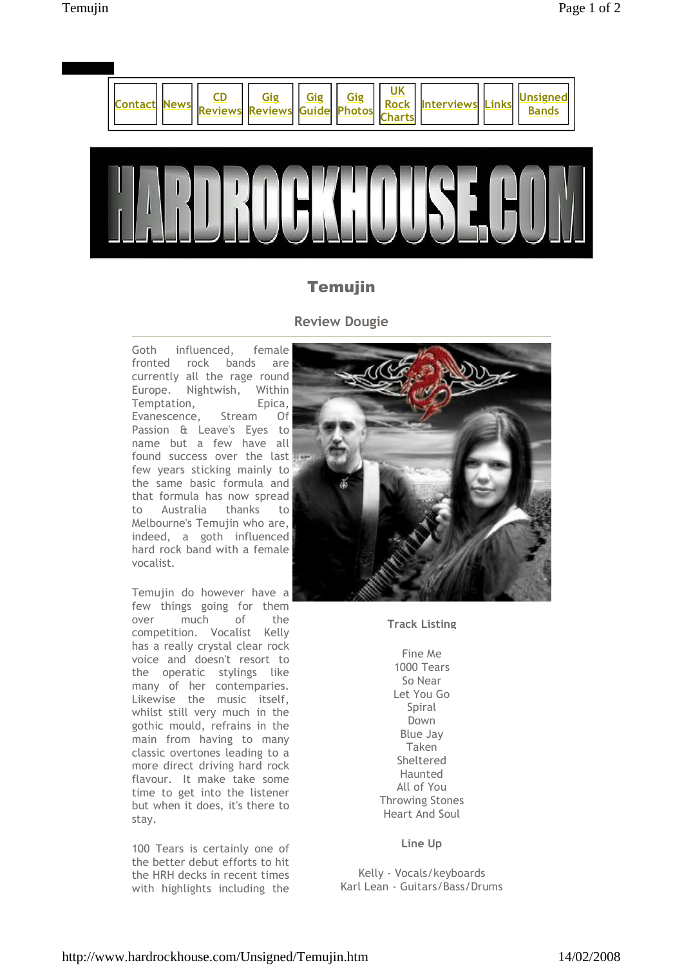

## Temujin

## **Review Dougie**

Goth influenced, female fronted rock bands are currently all the rage round Europe. Nightwish, Within Temptation, Epica, Evanescence, Stream Of Passion & Leave's Eyes to name but a few have all found success over the last few years sticking mainly to the same basic formula and that formula has now spread to Australia thanks to Melbourne's Temujin who are, indeed, a goth influenced hard rock band with a female vocalist.

Temujin do however have a few things going for them over much of the competition. Vocalist Kelly has a really crystal clear rock voice and doesn't resort to the operatic stylings like many of her contemparies. Likewise the music itself, whilst still very much in the gothic mould, refrains in the main from having to many classic overtones leading to a more direct driving hard rock flavour. It make take some time to get into the listener but when it does, it's there to stay.

100 Tears is certainly one of the better debut efforts to hit the HRH decks in recent times with highlights including the



**Track Listing**

Fine Me 1000 Tears So Near Let You Go Spiral Down Blue Jay Taken Sheltered Haunted All of You Throwing Stones Heart And Soul

**Line Up**

Kelly - Vocals/keyboards Karl Lean - Guitars/Bass/Drums